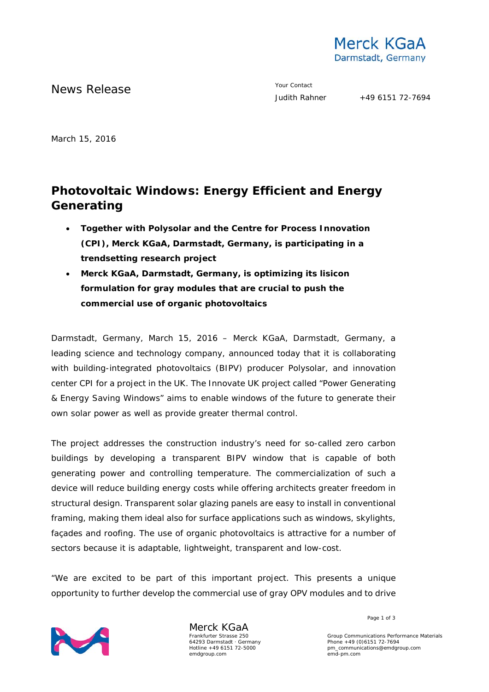

News Release The Contact Terms and the Vour Contact Vour Contact Vour Contact

March 15, 2016

# **Photovoltaic Windows: Energy Efficient and Energy Generating**

- **Together with Polysolar and the Centre for Process Innovation (CPI), Merck KGaA, Darmstadt, Germany, is participating in a trendsetting research project**
- **Merck KGaA, Darmstadt, Germany, is optimizing its lisicon formulation for gray modules that are crucial to push the commercial use of organic photovoltaics**

Darmstadt, Germany, March 15, 2016 – Merck KGaA, Darmstadt, Germany, a leading science and technology company, announced today that it is collaborating with building-integrated photovoltaics (BIPV) producer Polysolar, and innovation center CPI for a project in the UK. The Innovate UK project called "Power Generating & Energy Saving Windows" aims to enable windows of the future to generate their own solar power as well as provide greater thermal control.

The project addresses the construction industry's need for so-called zero carbon buildings by developing a transparent BIPV window that is capable of both generating power and controlling temperature. The commercialization of such a device will reduce building energy costs while offering architects greater freedom in structural design. Transparent solar glazing panels are easy to install in conventional framing, making them ideal also for surface applications such as windows, skylights, façades and roofing. The use of organic photovoltaics is attractive for a number of sectors because it is adaptable, lightweight, transparent and low-cost.

"We are excited to be part of this important project. This presents a unique opportunity to further develop the commercial use of gray OPV modules and to drive



Merck KGaA Frankfurter Strasse 250 64293 Darmstadt · Germany Hotline +49 6151 72-5000 emdgroup.com

Page 1 of 3

Group Communications Performance Materials Phone +49 (0)6151 72-7694 pm\_communications@emdgroup.com emd-pm.com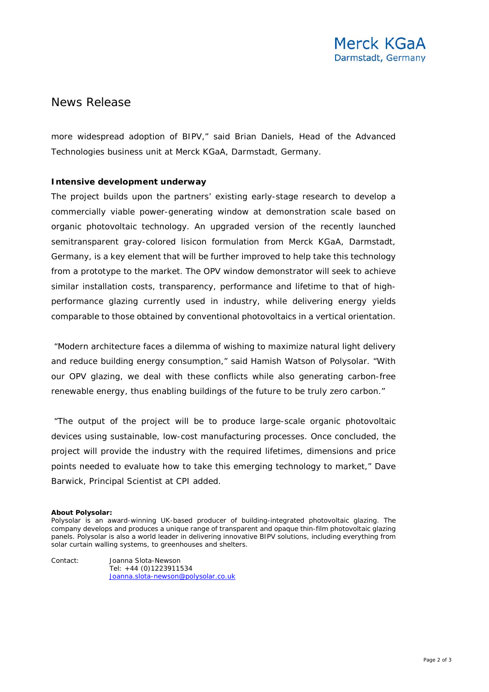## News Release

more widespread adoption of BIPV," said Brian Daniels, Head of the Advanced Technologies business unit at Merck KGaA, Darmstadt, Germany.

### **Intensive development underway**

The project builds upon the partners' existing early-stage research to develop a commercially viable power-generating window at demonstration scale based on organic photovoltaic technology. An upgraded version of the recently launched semitransparent gray-colored lisicon formulation from Merck KGaA, Darmstadt, Germany, is a key element that will be further improved to help take this technology from a prototype to the market. The OPV window demonstrator will seek to achieve similar installation costs, transparency, performance and lifetime to that of highperformance glazing currently used in industry, while delivering energy yields comparable to those obtained by conventional photovoltaics in a vertical orientation.

"Modern architecture faces a dilemma of wishing to maximize natural light delivery and reduce building energy consumption," said Hamish Watson of Polysolar. "With our OPV glazing, we deal with these conflicts while also generating carbon-free renewable energy, thus enabling buildings of the future to be truly zero carbon."

"The output of the project will be to produce large-scale organic photovoltaic devices using sustainable, low-cost manufacturing processes. Once concluded, the project will provide the industry with the required lifetimes, dimensions and price points needed to evaluate how to take this emerging technology to market," Dave Barwick, Principal Scientist at CPI added.

#### **About Polysolar:**

Contact: Joanna Slota-Newson Tel: +44 (0)1223911534

[Joanna.slota-newson@polysolar.co.uk](mailto:Joanna.slota-newson@polysolar.co.uk)

Polysolar is an award-winning UK-based producer of building-integrated photovoltaic glazing. The company develops and produces a unique range of transparent and opaque thin-film photovoltaic glazing panels. Polysolar is also a world leader in delivering innovative BIPV solutions, including everything from solar curtain walling systems, to greenhouses and shelters.